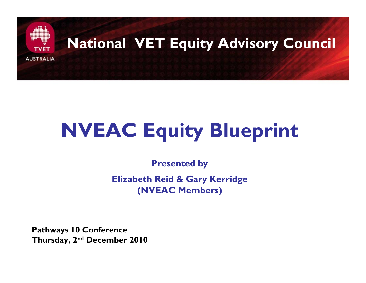

#### **National VET Equity Advisory Council**

# **NVEAC Equity Blueprint**

**Presented by**

**Elizabeth Reid & Gary Kerridge (NVEAC Members)**

**Pathways 10 Conference Thursday, 2nd December 2010**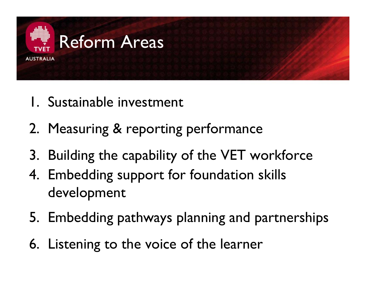

- 1. Sustainable investment
- 2. Measuring & reporting performance
- 3. Building the capability of the VET workforce
- 4. Embedding support for foundation skills development
- 5. Embedding pathways planning and partnerships
- 6. Listening to the voice of the learner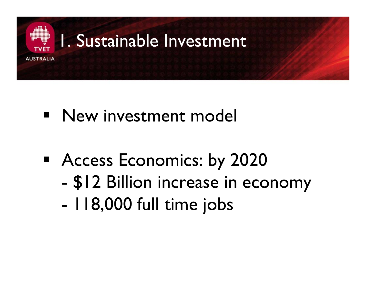

#### 1. Sustainable Investment

#### $\blacksquare$ New investment model

- **Access Economics: by 2020** 
	- \$12 Billion increase in economy
	- I 18,000 full time jobs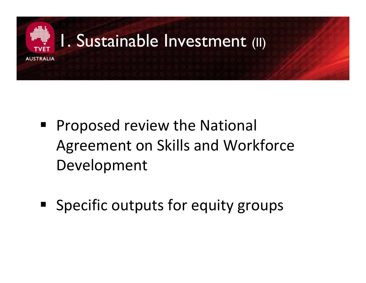

#### 1. Sustainable Investment (II)

- Proposed review the National Agreement on Skills and Workforce Development
- **Specific outputs for equity groups**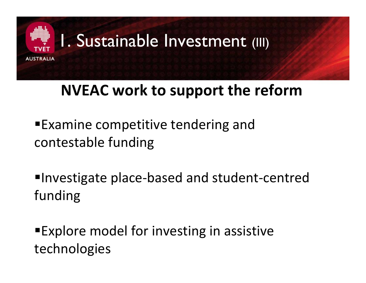

#### 1. Sustainable Investment (III)

#### **NVEAC work to support the reform**

- Examine competitive tendering and contestable funding
- Investigate place ‐based and student ‐centred funding
- Explore model for investing in assistive technologies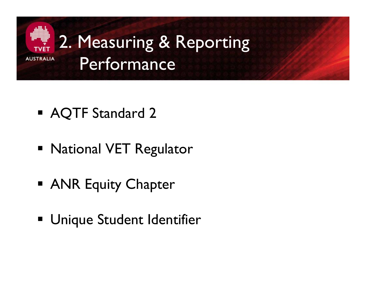

- **AQTF Standard 2**
- National VET Regulator
- **ANR Equity Chapter**
- Unique Student Identifier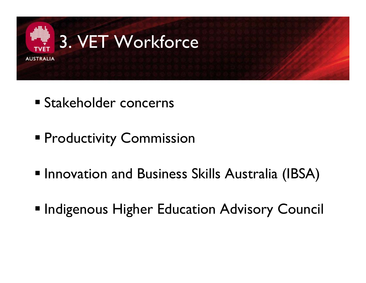

- Stakeholder concerns
- **Productivity Commission**
- **Innovation and Business Skills Australia (IBSA)**
- **Indigenous Higher Education Advisory Council**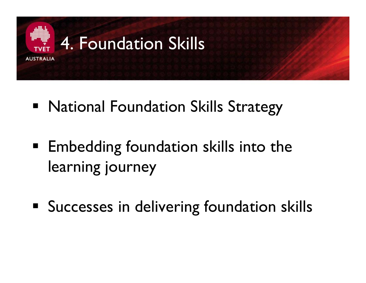

- National Foundation Skills Strategy
- **Embedding foundation skills into the** learning journey
- **Successes in delivering foundation skills**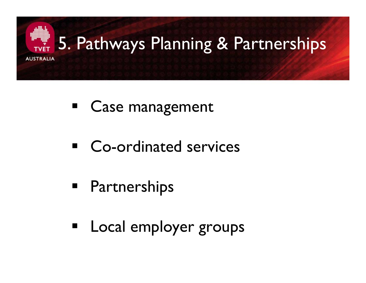

- **Ease management**
- **E** Co-ordinated services
- **Partnerships**
- **Earth** Local employer groups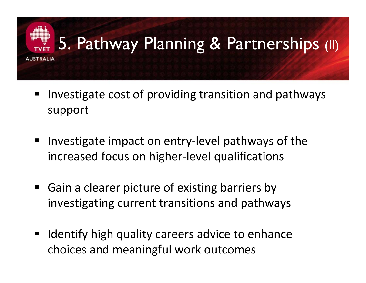# 5. Pathway Planning & Partnerships (II) **AUSTRALIA**

- Investigate cost of providing transition and pathways support
- $\blacksquare$ ■ Investigate impact on entry-level pathways of the increased focus on higher ‐level qualifications
- $\blacksquare$ ■ Gain a clearer picture of existing barriers by investigating current transitions and pathways
- $\blacksquare$  Identify high quality careers advice to enhance choices and meaningful work outcomes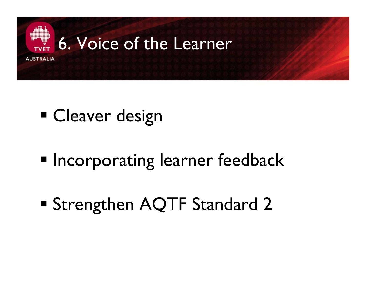

## **Cleaver design**

- **Incorporating learner feedback**
- Strengthen AQTF Standard 2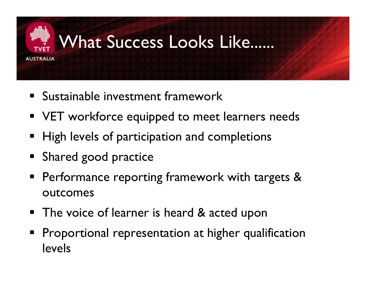

### What Success Looks Like......

- **Sustainable investment framework**
- **VET workforce equipped to meet learners needs**
- High levels of participation and completions
- **Shared good practice**
- **Performance reporting framework with targets &** outcomes
- The voice of learner is heard & acted upon
- **Proportional representation at higher qualification** levels